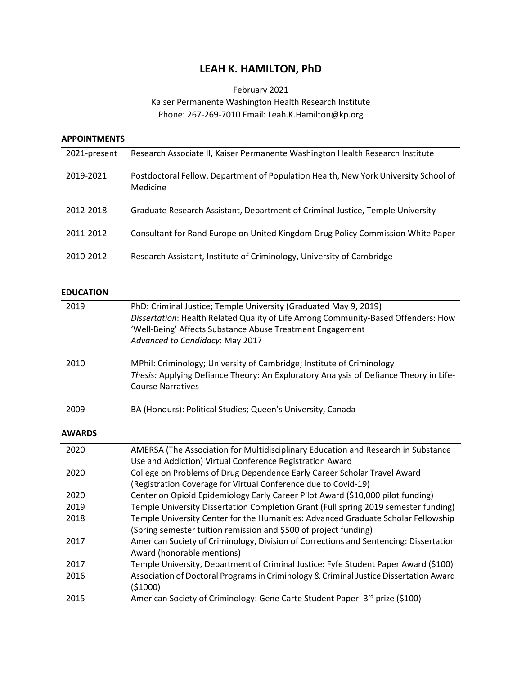## **LEAH K. HAMILTON, PhD**

## February 2021 Kaiser Permanente Washington Health Research Institute Phone: 267-269-7010 Email: Leah.K.Hamilton@kp.org

| <b>APPOINTMENTS</b> |                                                                                                 |
|---------------------|-------------------------------------------------------------------------------------------------|
| 2021-present        | Research Associate II, Kaiser Permanente Washington Health Research Institute                   |
| 2019-2021           | Postdoctoral Fellow, Department of Population Health, New York University School of<br>Medicine |
| 2012-2018           | Graduate Research Assistant, Department of Criminal Justice, Temple University                  |
| 2011-2012           | Consultant for Rand Europe on United Kingdom Drug Policy Commission White Paper                 |
| 2010-2012           | Research Assistant, Institute of Criminology, University of Cambridge                           |
| <b>EDUCATION</b>    |                                                                                                 |
| 2019                | PhD: Criminal Justice; Temple University (Graduated May 9, 2019)                                |
|                     | Dissertation: Health Related Quality of Life Among Community-Based Offenders: How               |
|                     | 'Well-Being' Affects Substance Abuse Treatment Engagement                                       |

|      | wen being Threets substance Awase Treatment Engagement<br>Advanced to Candidacy: May 2017                                                                                                  |
|------|--------------------------------------------------------------------------------------------------------------------------------------------------------------------------------------------|
| 2010 | MPhil: Criminology; University of Cambridge; Institute of Criminology<br>Thesis: Applying Defiance Theory: An Exploratory Analysis of Defiance Theory in Life-<br><b>Course Narratives</b> |

## 2009 BA (Honours): Political Studies; Queen's University, Canada

#### **AWARDS**

| 2020 | AMERSA (The Association for Multidisciplinary Education and Research in Substance     |
|------|---------------------------------------------------------------------------------------|
|      | Use and Addiction) Virtual Conference Registration Award                              |
| 2020 | College on Problems of Drug Dependence Early Career Scholar Travel Award              |
|      | (Registration Coverage for Virtual Conference due to Covid-19)                        |
| 2020 | Center on Opioid Epidemiology Early Career Pilot Award (\$10,000 pilot funding)       |
| 2019 | Temple University Dissertation Completion Grant (Full spring 2019 semester funding)   |
| 2018 | Temple University Center for the Humanities: Advanced Graduate Scholar Fellowship     |
|      | (Spring semester tuition remission and \$500 of project funding)                      |
| 2017 | American Society of Criminology, Division of Corrections and Sentencing: Dissertation |
|      | Award (honorable mentions)                                                            |
| 2017 | Temple University, Department of Criminal Justice: Fyfe Student Paper Award (\$100)   |
| 2016 | Association of Doctoral Programs in Criminology & Criminal Justice Dissertation Award |
|      | (\$1000)                                                                              |
| 2015 | American Society of Criminology: Gene Carte Student Paper -3rd prize (\$100)          |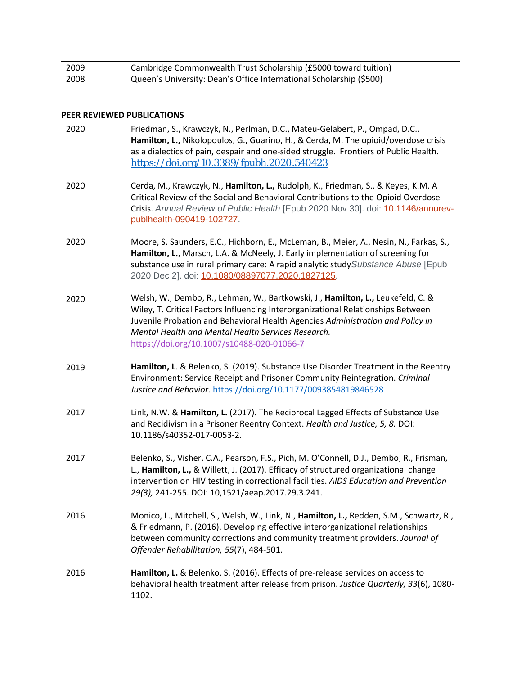| 2009 | Cambridge Commonwealth Trust Scholarship (£5000 toward tuition)     |
|------|---------------------------------------------------------------------|
| 2008 | Queen's University: Dean's Office International Scholarship (\$500) |

#### **PEER REVIEWED PUBLICATIONS**

| 2020 | Friedman, S., Krawczyk, N., Perlman, D.C., Mateu-Gelabert, P., Ompad, D.C.,<br>Hamilton, L., Nikolopoulos, G., Guarino, H., & Cerda, M. The opioid/overdose crisis<br>as a dialectics of pain, despair and one-sided struggle. Frontiers of Public Health.<br>https://doi.org/10.3389/fpubh.2020.540423                                                   |
|------|-----------------------------------------------------------------------------------------------------------------------------------------------------------------------------------------------------------------------------------------------------------------------------------------------------------------------------------------------------------|
| 2020 | Cerda, M., Krawczyk, N., Hamilton, L., Rudolph, K., Friedman, S., & Keyes, K.M. A<br>Critical Review of the Social and Behavioral Contributions to the Opioid Overdose<br>Crisis. Annual Review of Public Health [Epub 2020 Nov 30]. doi: 10.1146/annurev-<br>publhealth-090419-102727.                                                                   |
| 2020 | Moore, S. Saunders, E.C., Hichborn, E., McLeman, B., Meier, A., Nesin, N., Farkas, S.,<br>Hamilton, L., Marsch, L.A. & McNeely, J. Early implementation of screening for<br>substance use in rural primary care: A rapid analytic study Substance Abuse [Epub<br>2020 Dec 2]. doi: 10.1080/08897077.2020.1827125.                                         |
| 2020 | Welsh, W., Dembo, R., Lehman, W., Bartkowski, J., Hamilton, L., Leukefeld, C. &<br>Wiley, T. Critical Factors Influencing Interorganizational Relationships Between<br>Juvenile Probation and Behavioral Health Agencies Administration and Policy in<br>Mental Health and Mental Health Services Research.<br>https://doi.org/10.1007/s10488-020-01066-7 |
| 2019 | Hamilton, L. & Belenko, S. (2019). Substance Use Disorder Treatment in the Reentry<br>Environment: Service Receipt and Prisoner Community Reintegration. Criminal<br>Justice and Behavior. https://doi.org/10.1177/0093854819846528                                                                                                                       |
| 2017 | Link, N.W. & Hamilton, L. (2017). The Reciprocal Lagged Effects of Substance Use<br>and Recidivism in a Prisoner Reentry Context. Health and Justice, 5, 8. DOI:<br>10.1186/s40352-017-0053-2.                                                                                                                                                            |
| 2017 | Belenko, S., Visher, C.A., Pearson, F.S., Pich, M. O'Connell, D.J., Dembo, R., Frisman,<br>L., Hamilton, L., & Willett, J. (2017). Efficacy of structured organizational change<br>intervention on HIV testing in correctional facilities. AIDS Education and Prevention<br>29(3), 241-255. DOI: 10,1521/aeap.2017.29.3.241.                              |
| 2016 | Monico, L., Mitchell, S., Welsh, W., Link, N., Hamilton, L., Redden, S.M., Schwartz, R.,<br>& Friedmann, P. (2016). Developing effective interorganizational relationships<br>between community corrections and community treatment providers. Journal of<br>Offender Rehabilitation, 55(7), 484-501.                                                     |
| 2016 | Hamilton, L. & Belenko, S. (2016). Effects of pre-release services on access to<br>behavioral health treatment after release from prison. Justice Quarterly, 33(6), 1080-<br>1102.                                                                                                                                                                        |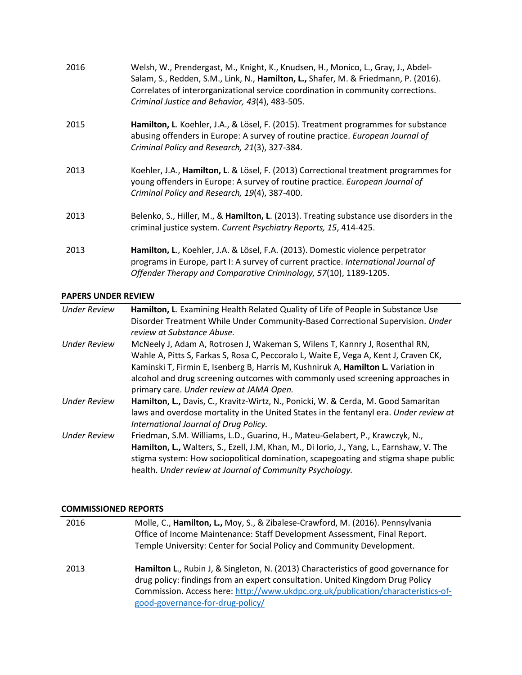| 2016 | Welsh, W., Prendergast, M., Knight, K., Knudsen, H., Monico, L., Gray, J., Abdel-<br>Salam, S., Redden, S.M., Link, N., Hamilton, L., Shafer, M. & Friedmann, P. (2016).<br>Correlates of interorganizational service coordination in community corrections.<br>Criminal Justice and Behavior, 43(4), 483-505. |
|------|----------------------------------------------------------------------------------------------------------------------------------------------------------------------------------------------------------------------------------------------------------------------------------------------------------------|
| 2015 | Hamilton, L. Koehler, J.A., & Lösel, F. (2015). Treatment programmes for substance<br>abusing offenders in Europe: A survey of routine practice. European Journal of<br>Criminal Policy and Research, 21(3), 327-384.                                                                                          |
| 2013 | Koehler, J.A., Hamilton, L. & Lösel, F. (2013) Correctional treatment programmes for<br>young offenders in Europe: A survey of routine practice. European Journal of<br>Criminal Policy and Research, 19(4), 387-400.                                                                                          |
| 2013 | Belenko, S., Hiller, M., & Hamilton, L. (2013). Treating substance use disorders in the<br>criminal justice system. Current Psychiatry Reports, 15, 414-425.                                                                                                                                                   |
| 2013 | Hamilton, L., Koehler, J.A. & Lösel, F.A. (2013). Domestic violence perpetrator<br>programs in Europe, part I: A survey of current practice. International Journal of<br>Offender Therapy and Comparative Criminology, 57(10), 1189-1205.                                                                      |

#### **PAPERS UNDER REVIEW**

| <b>Under Review</b> | Hamilton, L. Examining Health Related Quality of Life of People in Substance Use<br>Disorder Treatment While Under Community-Based Correctional Supervision. Under<br>review at Substance Abuse. |
|---------------------|--------------------------------------------------------------------------------------------------------------------------------------------------------------------------------------------------|
|                     |                                                                                                                                                                                                  |
| <b>Under Review</b> | McNeely J, Adam A, Rotrosen J, Wakeman S, Wilens T, Kannry J, Rosenthal RN,                                                                                                                      |
|                     | Wahle A, Pitts S, Farkas S, Rosa C, Peccoralo L, Waite E, Vega A, Kent J, Craven CK,                                                                                                             |
|                     | Kaminski T, Firmin E, Isenberg B, Harris M, Kushniruk A, Hamilton L. Variation in                                                                                                                |
|                     | alcohol and drug screening outcomes with commonly used screening approaches in                                                                                                                   |
|                     | primary care. Under review at JAMA Open.                                                                                                                                                         |
|                     |                                                                                                                                                                                                  |
| <b>Under Review</b> | Hamilton, L., Davis, C., Kravitz-Wirtz, N., Ponicki, W. & Cerda, M. Good Samaritan                                                                                                               |
|                     | laws and overdose mortality in the United States in the fentanyl era. Under review at                                                                                                            |
|                     | International Journal of Drug Policy.                                                                                                                                                            |
| <b>Under Review</b> | Friedman, S.M. Williams, L.D., Guarino, H., Mateu-Gelabert, P., Krawczyk, N.,                                                                                                                    |
|                     | Hamilton, L., Walters, S., Ezell, J.M, Khan, M., Di Iorio, J., Yang, L., Earnshaw, V. The                                                                                                        |
|                     | stigma system: How sociopolitical domination, scapegoating and stigma shape public                                                                                                               |
|                     |                                                                                                                                                                                                  |
|                     | health. Under review at Journal of Community Psychology.                                                                                                                                         |

#### **COMMISSIONED REPORTS**

| 2016 | Molle, C., Hamilton, L., Moy, S., & Zibalese-Crawford, M. (2016). Pennsylvania<br>Office of Income Maintenance: Staff Development Assessment, Final Report.<br>Temple University: Center for Social Policy and Community Development.                                                        |
|------|----------------------------------------------------------------------------------------------------------------------------------------------------------------------------------------------------------------------------------------------------------------------------------------------|
| 2013 | Hamilton L., Rubin J, & Singleton, N. (2013) Characteristics of good governance for<br>drug policy: findings from an expert consultation. United Kingdom Drug Policy<br>Commission. Access here: http://www.ukdpc.org.uk/publication/characteristics-of-<br>good-governance-for-drug-policy/ |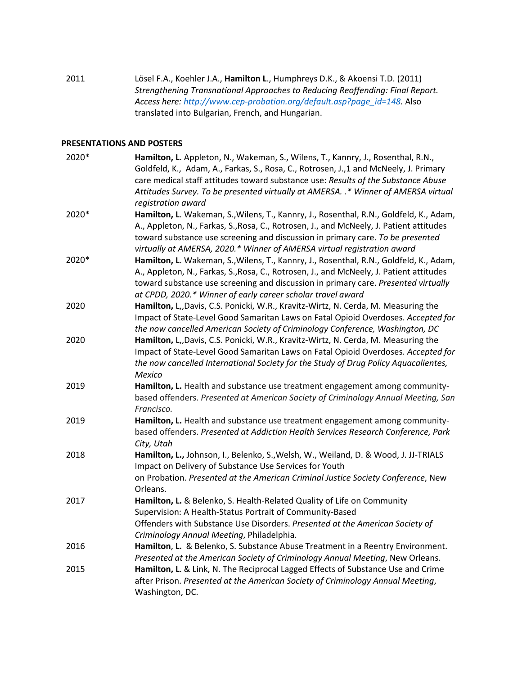2011 Lösel F.A., Koehler J.A., **Hamilton L**., Humphreys D.K., & Akoensi T.D. (2011) *Strengthening Transnational Approaches to Reducing Reoffending: Final Report. Access here: [http://www.cep-probation.org/default.asp?page\\_id=148.](http://www.cep-probation.org/default.asp?page_id=148)* Also translated into Bulgarian, French, and Hungarian.

#### **PRESENTATIONS AND POSTERS**

| 2020* | Hamilton, L. Appleton, N., Wakeman, S., Wilens, T., Kannry, J., Rosenthal, R.N.,        |
|-------|-----------------------------------------------------------------------------------------|
|       | Goldfeld, K., Adam, A., Farkas, S., Rosa, C., Rotrosen, J.,1 and McNeely, J. Primary    |
|       | care medical staff attitudes toward substance use: Results of the Substance Abuse       |
|       | Attitudes Survey. To be presented virtually at AMERSA. .* Winner of AMERSA virtual      |
|       | registration award                                                                      |
| 2020* | Hamilton, L. Wakeman, S., Wilens, T., Kannry, J., Rosenthal, R.N., Goldfeld, K., Adam,  |
|       | A., Appleton, N., Farkas, S., Rosa, C., Rotrosen, J., and McNeely, J. Patient attitudes |
|       | toward substance use screening and discussion in primary care. To be presented          |
|       | virtually at AMERSA, 2020.* Winner of AMERSA virtual registration award                 |
| 2020* | Hamilton, L. Wakeman, S., Wilens, T., Kannry, J., Rosenthal, R.N., Goldfeld, K., Adam,  |
|       | A., Appleton, N., Farkas, S., Rosa, C., Rotrosen, J., and McNeely, J. Patient attitudes |
|       | toward substance use screening and discussion in primary care. Presented virtually      |
|       | at CPDD, 2020.* Winner of early career scholar travel award                             |
| 2020  | Hamilton, L,,Davis, C.S. Ponicki, W.R., Kravitz-Wirtz, N. Cerda, M. Measuring the       |
|       | Impact of State-Level Good Samaritan Laws on Fatal Opioid Overdoses. Accepted for       |
|       | the now cancelled American Society of Criminology Conference, Washington, DC            |
| 2020  | Hamilton, L,,Davis, C.S. Ponicki, W.R., Kravitz-Wirtz, N. Cerda, M. Measuring the       |
|       | Impact of State-Level Good Samaritan Laws on Fatal Opioid Overdoses. Accepted for       |
|       | the now cancelled International Society for the Study of Drug Policy Aquacalientes,     |
|       | Mexico                                                                                  |
| 2019  | Hamilton, L. Health and substance use treatment engagement among community-             |
|       | based offenders. Presented at American Society of Criminology Annual Meeting, San       |
|       | Francisco.                                                                              |
| 2019  | Hamilton, L. Health and substance use treatment engagement among community-             |
|       | based offenders. Presented at Addiction Health Services Research Conference, Park       |
|       | City, Utah                                                                              |
| 2018  | Hamilton, L., Johnson, I., Belenko, S., Welsh, W., Weiland, D. & Wood, J. JJ-TRIALS     |
|       | Impact on Delivery of Substance Use Services for Youth                                  |
|       | on Probation. Presented at the American Criminal Justice Society Conference, New        |
|       | Orleans.                                                                                |
| 2017  | Hamilton, L. & Belenko, S. Health-Related Quality of Life on Community                  |
|       | Supervision: A Health-Status Portrait of Community-Based                                |
|       | Offenders with Substance Use Disorders. Presented at the American Society of            |
|       | Criminology Annual Meeting, Philadelphia.                                               |
| 2016  | Hamilton, L. & Belenko, S. Substance Abuse Treatment in a Reentry Environment.          |
|       | Presented at the American Society of Criminology Annual Meeting, New Orleans.           |
| 2015  | Hamilton, L. & Link, N. The Reciprocal Lagged Effects of Substance Use and Crime        |
|       | after Prison. Presented at the American Society of Criminology Annual Meeting,          |
|       | Washington, DC.                                                                         |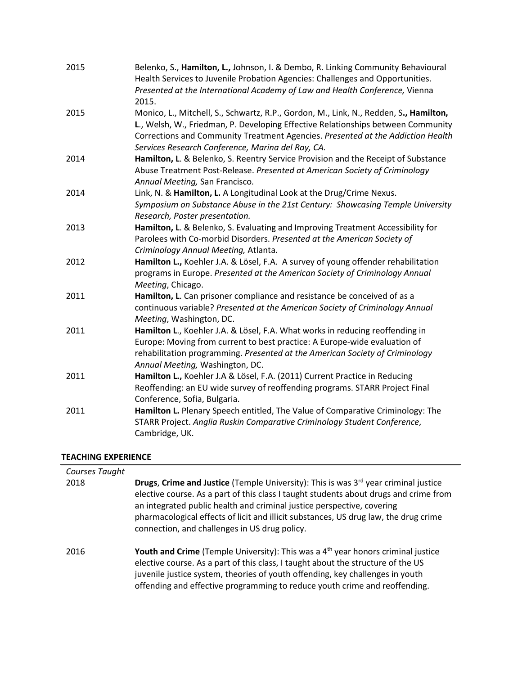| 2015 | Belenko, S., Hamilton, L., Johnson, I. & Dembo, R. Linking Community Behavioural<br>Health Services to Juvenile Probation Agencies: Challenges and Opportunities.<br>Presented at the International Academy of Law and Health Conference, Vienna<br>2015.                     |
|------|-------------------------------------------------------------------------------------------------------------------------------------------------------------------------------------------------------------------------------------------------------------------------------|
| 2015 | Monico, L., Mitchell, S., Schwartz, R.P., Gordon, M., Link, N., Redden, S., Hamilton,<br>L., Welsh, W., Friedman, P. Developing Effective Relationships between Community<br>Corrections and Community Treatment Agencies. Presented at the Addiction Health                  |
| 2014 | Services Research Conference, Marina del Ray, CA.<br>Hamilton, L. & Belenko, S. Reentry Service Provision and the Receipt of Substance<br>Abuse Treatment Post-Release. Presented at American Society of Criminology<br>Annual Meeting, San Francisco.                        |
| 2014 | Link, N. & Hamilton, L. A Longitudinal Look at the Drug/Crime Nexus.<br>Symposium on Substance Abuse in the 21st Century: Showcasing Temple University<br>Research, Poster presentation.                                                                                      |
| 2013 | Hamilton, L. & Belenko, S. Evaluating and Improving Treatment Accessibility for<br>Parolees with Co-morbid Disorders. Presented at the American Society of<br>Criminology Annual Meeting, Atlanta.                                                                            |
| 2012 | Hamilton L., Koehler J.A. & Lösel, F.A. A survey of young offender rehabilitation<br>programs in Europe. Presented at the American Society of Criminology Annual<br>Meeting, Chicago.                                                                                         |
| 2011 | Hamilton, L. Can prisoner compliance and resistance be conceived of as a<br>continuous variable? Presented at the American Society of Criminology Annual<br>Meeting, Washington, DC.                                                                                          |
| 2011 | Hamilton L., Koehler J.A. & Lösel, F.A. What works in reducing reoffending in<br>Europe: Moving from current to best practice: A Europe-wide evaluation of<br>rehabilitation programming. Presented at the American Society of Criminology<br>Annual Meeting, Washington, DC. |
| 2011 | Hamilton L., Koehler J.A & Lösel, F.A. (2011) Current Practice in Reducing<br>Reoffending: an EU wide survey of reoffending programs. STARR Project Final<br>Conference, Sofia, Bulgaria.                                                                                     |
| 2011 | Hamilton L. Plenary Speech entitled, The Value of Comparative Criminology: The<br>STARR Project. Anglia Ruskin Comparative Criminology Student Conference,<br>Cambridge, UK.                                                                                                  |

#### **TEACHING EXPERIENCE**

| Courses Taught |                                                                                                                                                                                                                                                                                                                                                                                                                    |
|----------------|--------------------------------------------------------------------------------------------------------------------------------------------------------------------------------------------------------------------------------------------------------------------------------------------------------------------------------------------------------------------------------------------------------------------|
| 2018           | <b>Drugs, Crime and Justice</b> (Temple University): This is was 3 <sup>rd</sup> year criminal justice<br>elective course. As a part of this class I taught students about drugs and crime from<br>an integrated public health and criminal justice perspective, covering<br>pharmacological effects of licit and illicit substances, US drug law, the drug crime<br>connection, and challenges in US drug policy. |
| 2016           | <b>Youth and Crime</b> (Temple University): This was a $4th$ year honors criminal justice<br>elective course. As a part of this class, I taught about the structure of the US<br>juvenile justice system, theories of youth offending, key challenges in youth<br>offending and effective programming to reduce youth crime and reoffending.                                                                       |